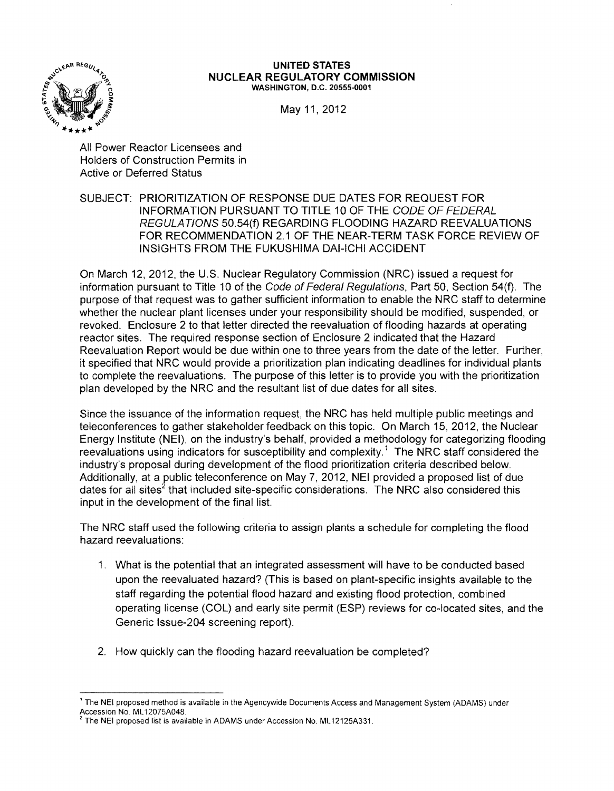

#### UNITED STATES **NUCLEAR REGULATORY COMMISSION**  WASHINGTON, D.C. 20555-0001

May 11, 2012

All Power Reactor Licensees and Holders of Construction Permits in Active or Deferred Status

SUBJECT: PRIORITIZATION OF RESPONSE DUE DATES FOR REQUEST FOR INFORMATION PURSUANT TO TITLE 10 OF THE CODE OF FEDERAL REGULATIONS 50.54(f) REGARDING FLOODING HAZARD REEVALUATIONS FOR RECOMMENDATION 2.1 OF THE NEAR-TERM TASK FORCE REVIEW OF INSIGHTS FROM THE FUKUSHIMA DAI-ICHI ACCIDENT

On March 12, 2012, the U.S. Nuclear Regulatory Commission (NRC) issued a request for information pursuant to Title 10 of the Code of Federal Regulations, Part 50, Section 54(f). The purpose of that request was to gather sufficient information to enable the NRC staff to determine whether the nuclear plant licenses under your responsibility should be modified, suspended, or revoked. Enclosure 2 to that letter directed the reevaluation of flooding hazards at operating reactor sites. The required response section of Enclosure 2 indicated that the Hazard Reevaluation Report would be due within one to three years from the date of the letter. Further, it specified that NRC would provide a prioritization plan indicating deadlines for individual plants to complete the reevaluations. The purpose of this letter is to provide you with the prioritization plan developed by the NRC and the resultant list of due dates for all sites.

Since the issuance of the information request, the NRC has held multiple public meetings and teleconferences to gather stakeholder feedback on this topic. On March 15, 2012, the Nuclear Energy Institute (NEI), on the industry's behalf, provided a methodology for categorizing flooding reevaluations using indicators for susceptibility and complexity.<sup>1</sup> The NRC staff considered the industry's proposal during development of the flood prioritization criteria described below. Additionally, at a public teleconference on May 7, 2012, NEI provided a proposed list of due dates for all sites<sup>2</sup> that included site-specific considerations. The NRC also considered this input in the development of the final list.

The NRC staff used the following criteria to assign plants a schedule for completing the flood hazard reevaluations:

- 1. What is the potential that an integrated assessment will have to be conducted based upon the reevaluated hazard? (This is based on plant-specific insights available to the staff regarding the potential flood hazard and existing flood protection, combined operating license (COL) and early site permit (ESP) reviews for co-located sites, and the Generic Issue-204 screening report).
- 2. How quickly can the flooding hazard reevaluation be completed?

<sup>,</sup> The NEI proposed method is available in the Agencywide Documents Access and Management System (ADAMS) under Accession No. ML12075A048.<br><sup>2</sup> The NEI proposed list is available in ADAMS under Accession No. ML12125A331.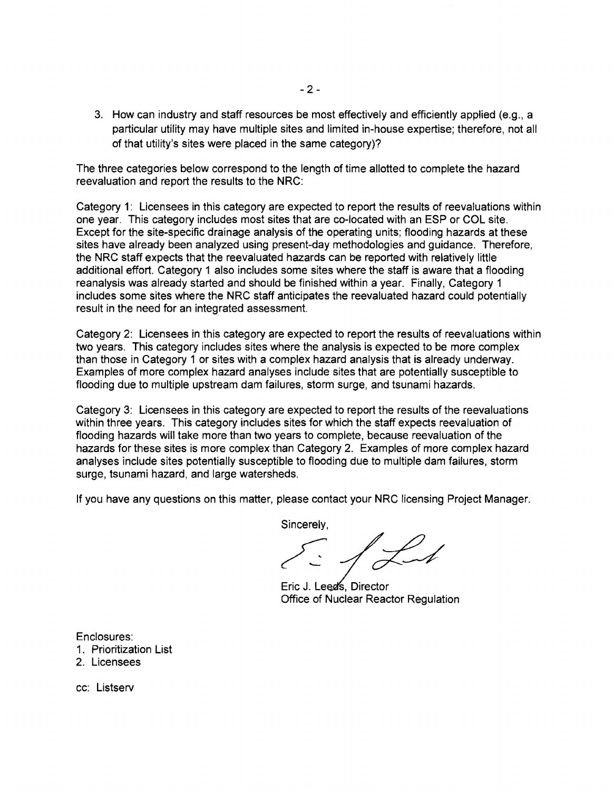3. How can industry and staff resources be most effectively and efficiently applied (e.g., a particular utility may have multiple sites and limited in-house expertise; therefore, not all of that utility's sites were placed in the same category)?

The three categories below correspond to the length of time allotted to complete the hazard reevaluation and report the results to the NRC:

Category 1: Licensees in this category are expected to report the results of reevaluations within one year. This category includes most sites that are co-located with an ESP or COL site. Except for the site-specific drainage analysis of the operating units; flooding hazards at these sites have already been analyzed using present-day methodologies and guidance. Therefore, the NRC staff expects that the reevaluated hazards can be reported with relatively little additional effort. Category 1 also includes some sites where the staff is aware that a flooding reanalysis was already started and should be finished within a year. Finally, Category 1 includes some sites where the NRC staff anticipates the reevaluated hazard could potentially result in the need for an integrated assessment.

Category 2: Licensees in this category are expected to report the results of reevaluations within two years. This category includes sites where the analysis is expected to be more complex than those in Category 1 or sites with a complex hazard analysis that is already underway. Examples of more complex hazard analyses include sites that are potentially susceptible to flooding due to multiple upstream dam failures, storm surge, and tsunami hazards.

Category 3: Licensees in this category are expected to report the results of the reevaluations within three years. This category includes sites for which the staff expects reevaluation of flooding hazards will take more than two years to complete, because reevaluation of the hazards for these sites is more complex than Category 2. Examples of more complex hazard analyses include sites potentially susceptible to flooding due to multiple dam failures, storm surge, tsunami hazard, and large watersheds.

If you have any questions on this matter, please contact your NRC licensing Project Manager.

Sincerely,

Eric J. Leed's, Director<br>Office of Nuclear Reactor Regulation

Enclosures:

- 1. Prioritization List
- 2. Licensees

cc: Listserv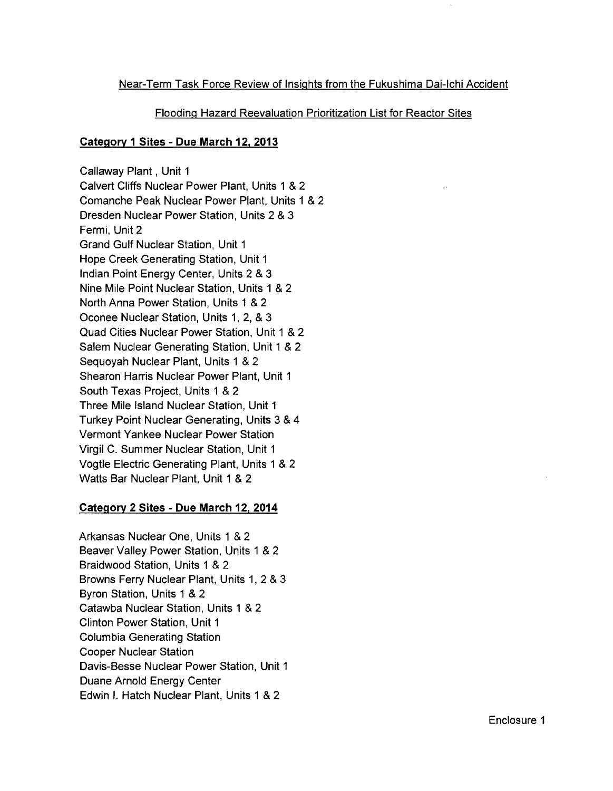# Near-Term Task Force Review of Insights from the Fukushima Dai-Ichi Accident

# Flooding Hazard Reevaluation Prioritization List for Reactor Sites

# **Category 1 Sites - Due March 12. 2013**

Callaway Plant, Unit 1 Calvert Cliffs Nuclear Power Plant, Units 1 & Comanche Peak Nuclear Power Plant, Units 1 & Dresden Nuclear Power Station, Units 2 &Fermi, Unit 2 Grand Gulf Nuclear Station, Unit 1 Hope Creek Generating Station, Unit 1 Indian Point Energy Center, Units 2 & Nine Mile Point Nuclear Station, Units 1 &North Anna Power Station, Units 1 &Oconee Nuclear Station, Units 1, 2, & Quad Cities Nuclear Power Station, Unit 1 & Salem Nuclear Generating Station, Unit 1 & Sequoyah Nuclear Plant, Units 1 &Shearon Harris Nuclear Power Plant, Unit 1 South Texas Project, Units 1 & Three Mile Island Nuclear Station, Unit 1 Turkey Point Nuclear Generating, Units 3 &Vermont Yankee Nuclear Power Station Virgil C. Summer Nuclear Station, Unit 1 Vogtle Electric Generating Plant, Units 1 & Watts Bar Nuclear Plant, Unit 1 &

### **Category 2 Sites - Due March 12. 2014**

Arkansas Nuclear One, Units 1 &2 Columbia Generating Station Cooper Nuclear Station Duane Arnold Energy Center Beaver Valley Power Station, Units 1 &2 Braidwood Station, Units 1 & 2 Browns Ferry Nuclear Plant, Units 1, 2 & 3 Byron Station, Units 1 & 2 Catawba Nuclear Station, Units 1 &2 Clinton Power Station, Unit 1 Davis-Besse Nuclear Power Station, Unit 1 Edwin I. Hatch Nuclear Plant, Units 1 &2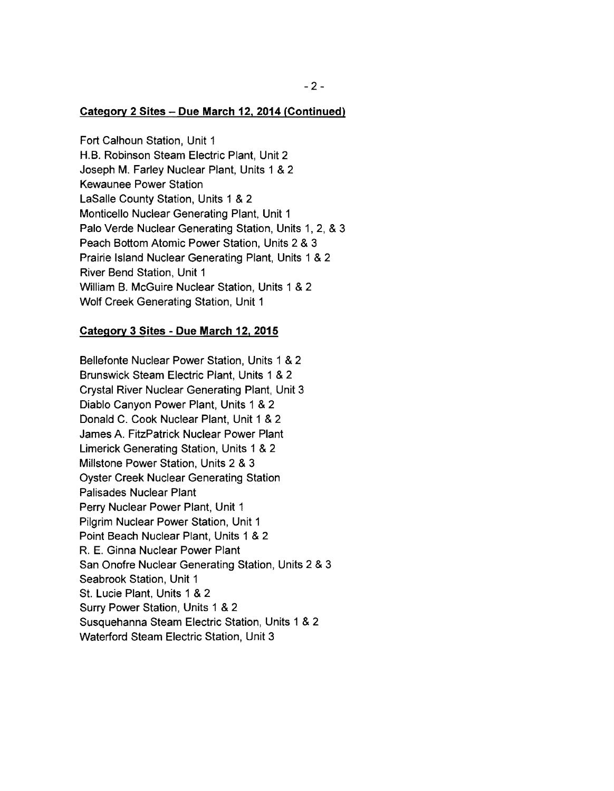### **Category 2 Sites - Due March 12. 2014 (Continued)**

Fort Calhoun Station, Unit 1 H.B. Robinson Steam Electric Plant, Unit 2 Joseph M. Farley Nuclear Plant, Units 1 & 2 Kewaunee Power Station LaSalle County Station, Units 1 & 2 Monticello Nuclear Generating Plant, Unit 1 Palo Verde Nuclear Generating Station, Units 1, 2, & 3 Peach Bottom Atomic Power Station, Units 2 & 3 Prairie Island Nuclear Generating Plant, Units 1 & 2 River Bend Station, Unit 1 William B. McGuire Nuclear Station, Units 1 & 2 Wolf Creek Generating Station, Unit 1

### **Category 3 Sites - Due March 12. 2015**

Bellefonte Nuclear Power Station, Units 1 & 2 Brunswick Steam Electric Plant, Units 1 & 2 Crystal River Nuclear Generating Plant, Unit 3 Diablo Canyon Power Plant, Units 1 & 2 Donald C. Cook Nuclear Plant, Unit 1 & 2 James A. FitzPatrick Nuclear Power Plant Limerick Generating Station, Units 1 & 2 Millstone Power Station, Units 2 & 3 Oyster Creek Nuclear Generating Station Palisades Nuclear Plant Perry Nuclear Power Plant, Unit 1 Pilgrim Nuclear Power Station, Unit 1 Point Beach Nuclear Plant, Units 1 & 2 R. E. Ginna Nuclear Power Plant San Onofre Nuclear Generating Station, Units 2 & 3 Seabrook Station, Unit 1 St. Lucie Plant, Units 1 & 2 Surry Power Station, Units 1 & 2 Susquehanna Steam Electric Station, Units 1 & 2 Waterford Steam Electric Station, Unit 3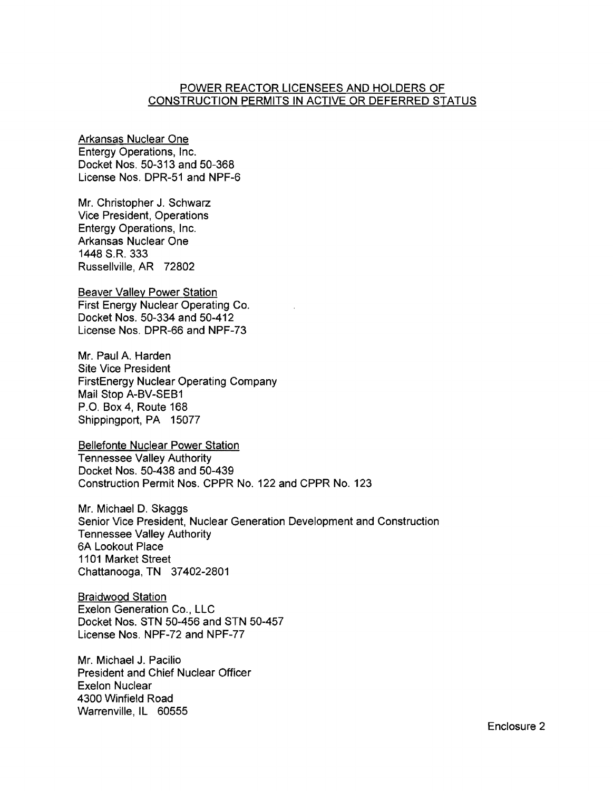### POWER REACTOR LICENSEES AND HOLDERS OF CONSTRUCTION PERMITS IN ACTIVE OR DEFERRED STATUS

Arkansas Nuclear One Entergy Operations, Inc. Docket Nos. 50-313 and 50-368 license Nos. DPR-51 and NPF-6

Mr. Christopher J. Schwarz Vice President, Operations Entergy Operations, Inc. Arkansas Nuclear One 1448 S.R. 333 Russellville, AR 72802

Beaver Valley Power Station First Energy Nuclear Operating Co. Docket Nos. 50-334 and 50-412 license Nos. DPR-66 and NPF-73

Mr. Paul A. Harden Site Vice President FirstEnergy Nuclear Operating Company Mail Stop A-BV-SEB1 P.O. Box 4, Route 168 Shippingport, PA 15077

Bellefonte Nuclear Power Station Tennessee Valley Authority Docket Nos. 50-438 and 50-439 Construction Permit Nos. CPPR No. 122 and CPPR No. 123

Mr. Michael D. Skaggs Senior Vice President, Nuclear Generation Development and Construction Tennessee Valley Authority 6A Lookout Place 1101 Market Street Chattanooga, TN 37402-2801

Braidwood Station Exelon Generation Co., LLC Docket Nos. STN 50-456 and STN 50-457 License Nos. NPF-72 and NPF-77

Mr. Michael J. Pacilio President and Chief Nuclear Officer Exelon Nuclear 4300 Winfield Road Warrenville, IL 60555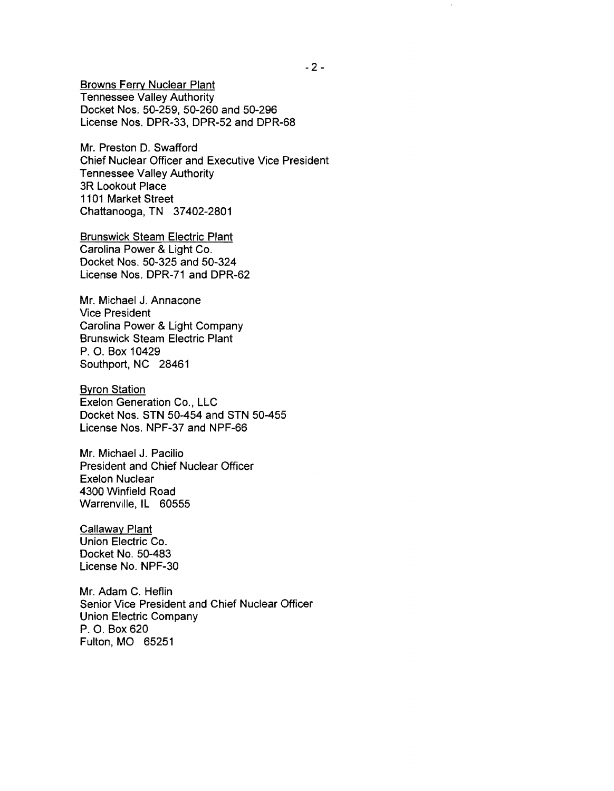Browns Ferry Nuclear Plant Tennessee Valley Authority Docket Nos. 50-259, 50-260 and 50-296 License Nos. DPR-33, DPR-52 and DPR-68

Mr. Preston D. Swafford Chief Nuclear Officer and Executive Vice President Tennessee Valley Authority 3R Lookout Place 1101 Market Street Chattanooga, TN 37402-2801

Brunswick Steam Electric Plant Carolina Power & Light Co. Docket Nos. 50-325 and 50-324 License Nos. DPR-71 and DPR-62

Mr. Michael J. Annacone Vice President Carolina Power & Light Company Brunswick Steam Electric Plant P. O. Box 10429 Southport, NC 28461

Byron Station Exelon Generation Co., LLC Docket Nos. STN 50-454 and STN 50-455 License Nos. NPF-37 and NPF-66

Mr. Michael J. Pacilio President and Chief Nuclear Officer Exelon Nuclear 4300 Winfield Road Warrenville, IL 60555

Callaway Plant Union Electric Co. Docket No. 50-483 License No. NPF-30

Mr. Adam C. Heflin Senior Vice President and Chief Nuclear Officer Union Electric Company P. O. Box 620 Fulton, MO 65251

 $\hat{\mathbf{r}}$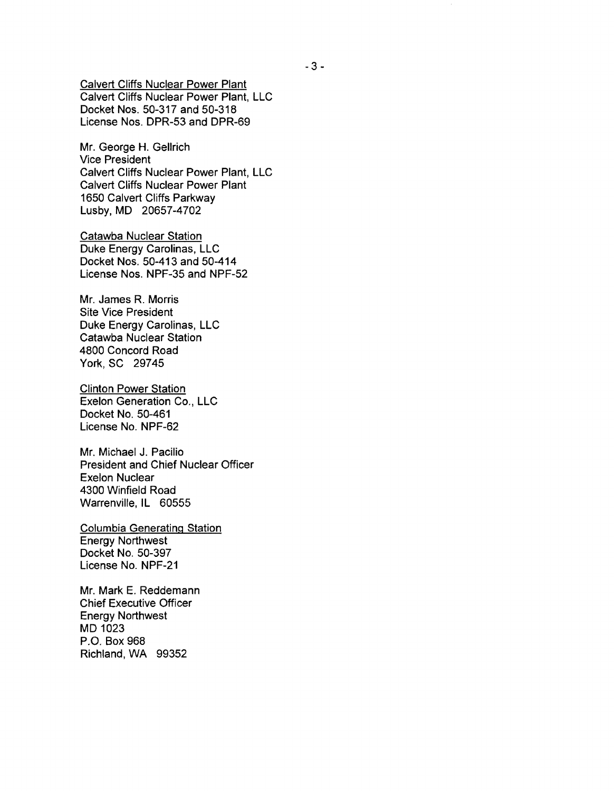Calvert Cliffs Nuclear Power Plant Calvert Cliffs Nuclear Power Plant, LLC Docket Nos. 50-317 and 50-318 License Nos. DPR-53 and DPR-69

Mr. George H. Gellrich Vice President Calvert Cliffs Nuclear Power Plant, LLC Calvert Cliffs Nuclear Power Plant 1650 Calvert Cliffs Parkway Lusby, MD 20657-4702

Catawba Nuclear Station Duke Energy Carolinas, LLC Docket Nos. 50-413 and 50-414 License Nos. NPF-35 and NPF-52

Mr. James R. Morris Site Vice President Duke Energy Carolinas, LLC Catawba Nuclear Station 4800 Concord Road York, SC 29745

Clinton Power Station Exelon Generation Co., LLC Docket No. 50-461 License No. NPF-62

Mr. Michael J. Pacilio President and Chief Nuclear Officer Exelon Nuclear 4300 Winfield Road Warrenville, IL 60555

Columbia Generating Station Energy Northwest Docket No. 50-397 License No. NPF-21

Mr. Mark E. Reddemann Chief Executive Officer Energy Northwest MD 1023 P.O. Box 968 Richland, WA 99352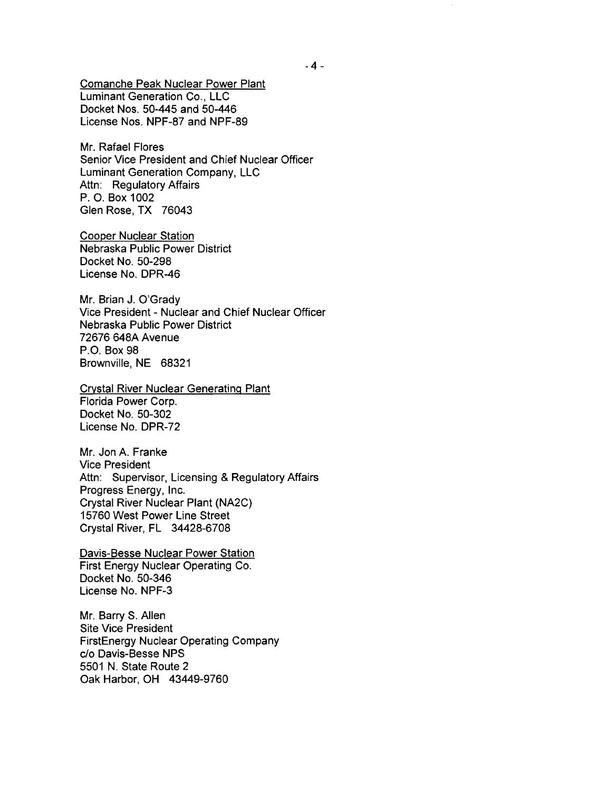Comanche Peak Nuclear Power Plant Luminant Generation Co., LLC Docket Nos. 50-445 and 50-446 License Nos. NPF-87 and NPF-89

Mr. Rafael Flores Senior Vice President and Chief Nuclear Officer Luminant Generation Company, LLC Attn: Regulatory Affairs P. O. Box 1002 Glen Rose, TX 76043

Cooper Nuclear Station Nebraska Public Power District Docket No. 50-298 License No. DPR-46

Mr. Brian J. O'Grady Vice President - Nuclear and Chief Nuclear Officer Nebraska Public Power District 72676 648A Avenue P.O. Box 98 Brownville, NE 68321

Crystal River Nuclear Generating Plant Florida Power Corp. Docket No. 50-302 License No. DPR-72

Mr. Jon A. Franke Vice President Attn: Supervisor, Licensing & Regulatory Affairs Progress Energy, Inc. Crystal River Nuclear Plant (NA2C) 15760 West Power Line Street Crystal River, FL 34428-6708

Davis-Besse Nuclear Power Station First Energy Nuclear Operating Co. Docket No. 50-346 License No. NPF-3

Mr. Barry S. Allen Site Vice President FirstEnergy Nuclear Operating Company c/o Davis-Besse NPS 5501 N. State Route 2 Oak Harbor, OH 43449-9760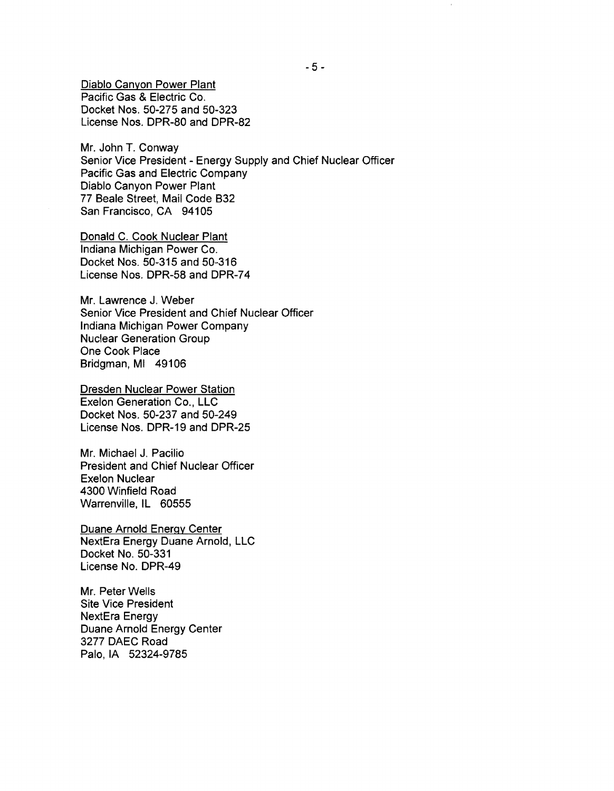Diablo Canyon Power Plant Pacific Gas & Electric Co. Docket Nos. 50-275 and 50-323 License Nos. DPR-80 and DPR-82

Mr. John T. Conway Senior Vice President - Energy Supply and Chief Nuclear Officer Pacific Gas and Electric Company Diablo Canyon Power Plant 77 Beale Street, Mail Code B32 San Francisco, CA 94105

Donald C. Cook Nuclear Plant Indiana Michigan Power Co. Docket Nos. 50-315 and 50-316 License Nos. DPR-58 and DPR-74

Mr. Lawrence J. Weber Senior Vice President and Chief Nuclear Officer Indiana Michigan Power Company Nuclear Generation Group One Cook Place Bridgman, MI 49106

Dresden Nuclear Power Station Exelon Generation Co., LLC Docket Nos. 50-237 and 50-249 License Nos. DPR-19 and DPR-25

Mr. Michael J. Pacilio President and Chief Nuclear Officer Exelon Nuclear 4300 Winfield Road Warrenville, IL 60555

Duane Arnold Energy Center NextEra Energy Duane Arnold, LLC Docket No. 50-331 License No. DPR-49

Mr. Peter Wells Site Vice President NextEra Energy Duane Arnold Energy Center 3277 DAEC Road Palo, IA 52324-9785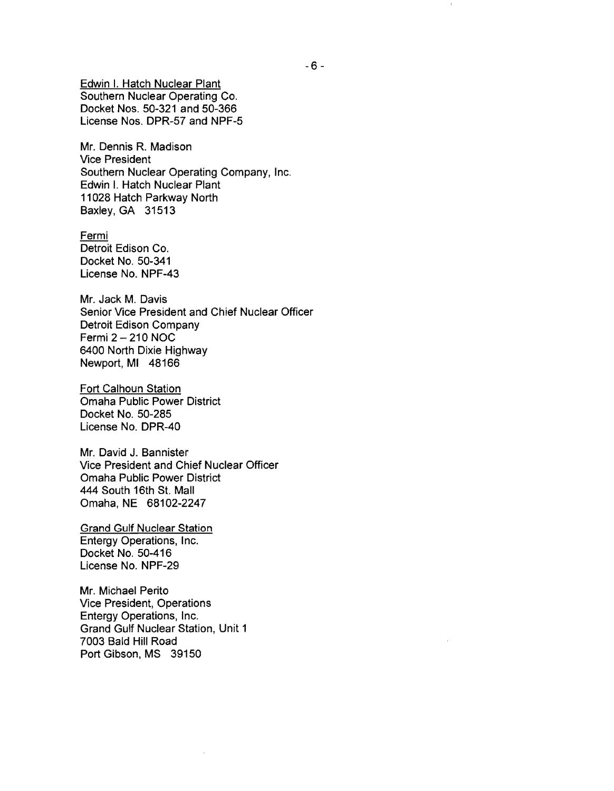Edwin I. Hatch Nuclear Plant Southern Nuclear Operating Co. Docket Nos. 50-321 and 50-366 License Nos. DPR-57 and NPF-5

Mr. Dennis R. Madison Vice President Southern Nuclear Operating Company, Inc. Edwin I. Hatch Nuclear Plant 11028 Hatch Parkway North Baxley, GA 31513

Fermi Detroit Edison Co. Docket No. 50-341 License No. NPF-43

Mr. Jack M. Davis Senior Vice President and Chief Nuclear Officer Detroit Edison Company Fermi 2 - 210 NOC 6400 North Dixie Highway Newport, MI 48166

Fort Calhoun Station Omaha Public Power District Docket No. 50-285 License No. DPR-40

Mr. David J. Bannister Vice President and Chief Nuclear Officer Omaha Public Power District 444 South 16th St. Mall Omaha, NE 68102-2247

Grand Gulf Nuclear Station Entergy Operations, Inc. Docket No. 50-416 License No. NPF-29

Mr. Michael Perito Vice President, Operations Entergy Operations, Inc. Grand Gulf Nuclear Station, Unit 1 7003 Bald Hill Road Port Gibson, MS 39150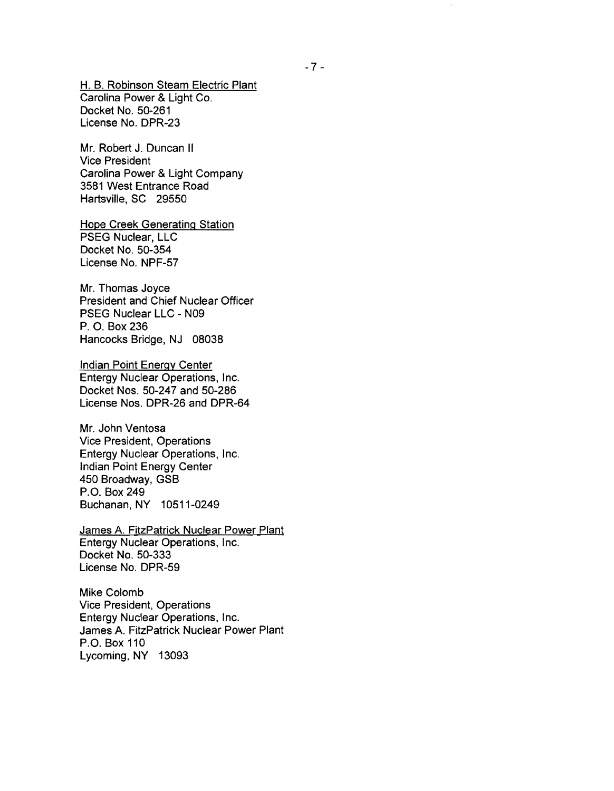H. B. Robinson Steam Electric Plant Carolina Power & Light Co. Docket No. 50-261 License No. DPR-23

Mr. Robert J. Duncan II Vice President Carolina Power & Light Company 3581 West Entrance Road Hartsville, SC 29550

Hope Creek Generating Station PSEG Nuclear, LLC Docket No. 50-354 License No. NPF-57

Mr. Thomas Joyce President and Chief Nuclear Officer PSEG Nuclear LLC - N09 P. O. Box 236 Hancocks Bridge, NJ 08038

Indian Point Energy Center Entergy Nuclear Operations, Inc. Docket Nos. 50-247 and 50-286 License Nos. DPR-26 and DPR-64

Mr. John Ventosa Vice President, Operations Entergy Nuclear Operations, Inc. Indian Point Energy Center 450 Broadway, GSB P.O. Box 249 Buchanan, NY 10511-0249

James A. FitzPatrick Nuclear Power Plant Entergy Nuclear Operations, Inc. Docket No. 50-333 License No. DPR-59

Mike Colomb Vice President, Operations Entergy Nuclear Operations, Inc. James A. FitzPatrick Nuclear Power Plant P.O. Box 110 Lycoming, NY 13093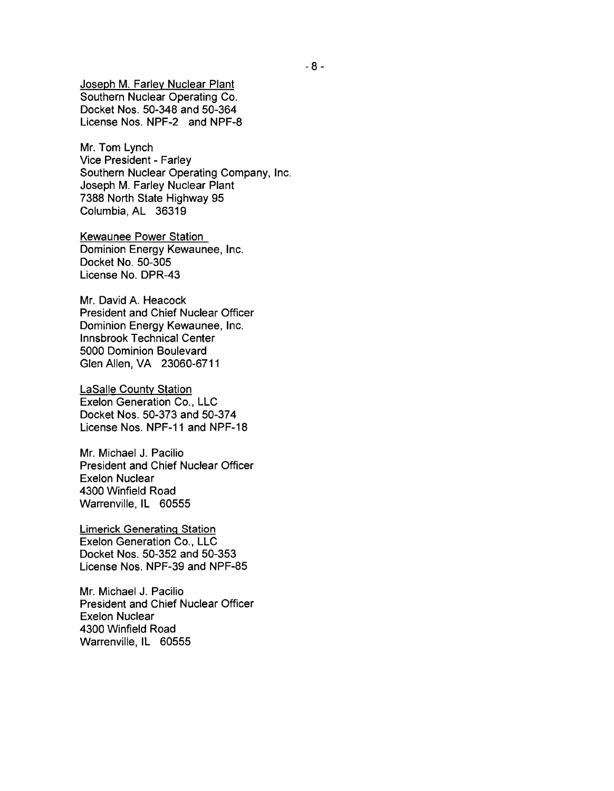Joseph M. Farley Nuclear Plant Southern Nuclear Operating Co. Docket Nos. 50-348 and 50-364 License Nos. NPF-2 and NPF-8

Mr. Tom Lynch Vice President - Farley Southern Nuclear Operating Company, Inc. Joseph M. Farley Nuclear Plant 7388 North State Highway 95 Columbia, AL 36319

Kewaunee Power Station Dominion Energy Kewaunee, Inc. Docket No. 50-305 License No. DPR-43

Mr. David A. Heacock President and Chief Nuclear Officer Dominion Energy Kewaunee, Inc. Innsbrook Technical Center 5000 Dominion Boulevard Glen Allen, VA 23060-6711

LaSalle County Station Exelon Generation Co., LLC Docket Nos. 50-373 and 50-374 License Nos. NPF-11 and NPF-18

Mr. Michael J. Pacilio President and Chief Nuclear Officer Exelon Nuclear 4300 Winfield Road Warrenville, IL 60555

Limerick Generating Station Exelon Generation Co., LLC Docket Nos. 50-352 and 50-353 License Nos. NPF-39 and NPF-85

Mr. Michael J. Pacilio President and Chief Nuclear Officer Exelon Nuclear 4300 Winfield Road Warrenville, IL 60555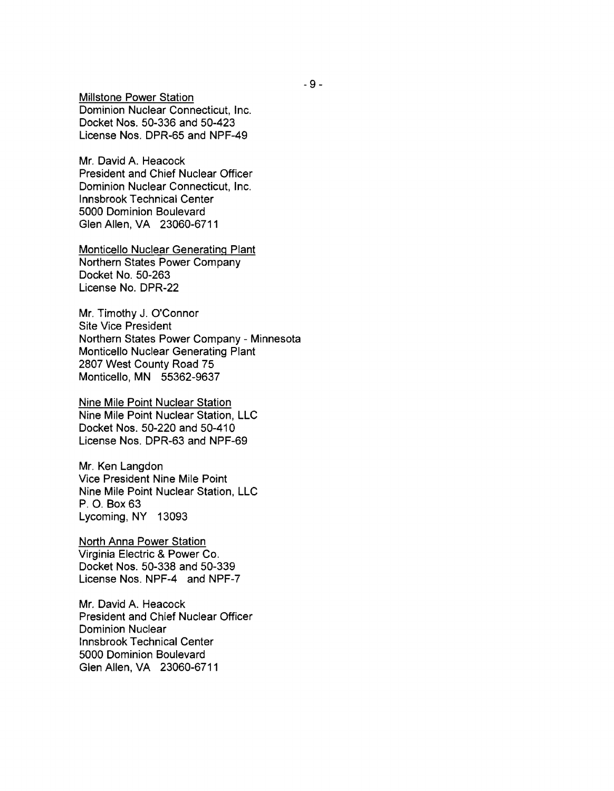Millstone Power Station Dominion Nuclear Connecticut, Inc. Docket Nos. 50-336 and 50-423 License Nos. DPR-65 and NPF-49

Mr. David A. Heacock President and Chief Nuclear Officer Dominion Nuclear Connecticut, Inc. Innsbrook Technical Center 5000 Dominion Boulevard Glen Allen, VA 23060-6711

Monticello Nuclear Generating Plant Northern States Power Company Docket No. 50-263 License No. DPR-22

Mr. Timothy J. O'Connor Site Vice President Northern States Power Company - Minnesota Monticello Nuclear Generating Plant 2807 West County Road 75 Monticello, MN 55362-9637

Nine Mile Point Nuclear Station Nine Mile Point Nuclear Station, LLC Docket Nos. 50-220 and 50-410 License Nos. DPR-63 and NPF-69

Mr. Ken Langdon Vice President Nine Mile Point Nine Mile Point Nuclear Station, LLC P. O. Box 63 Lycoming, NY 13093

North Anna Power Station Virginia Electric & Power Co. Docket Nos. 50-338 and 50-339 License Nos. NPF-4 and NPF-7

Mr. David A. Heacock President and Chief Nuclear Officer Dominion Nuclear Innsbrook Technical Center 5000 Dominion Boulevard Glen Allen, VA 23060-6711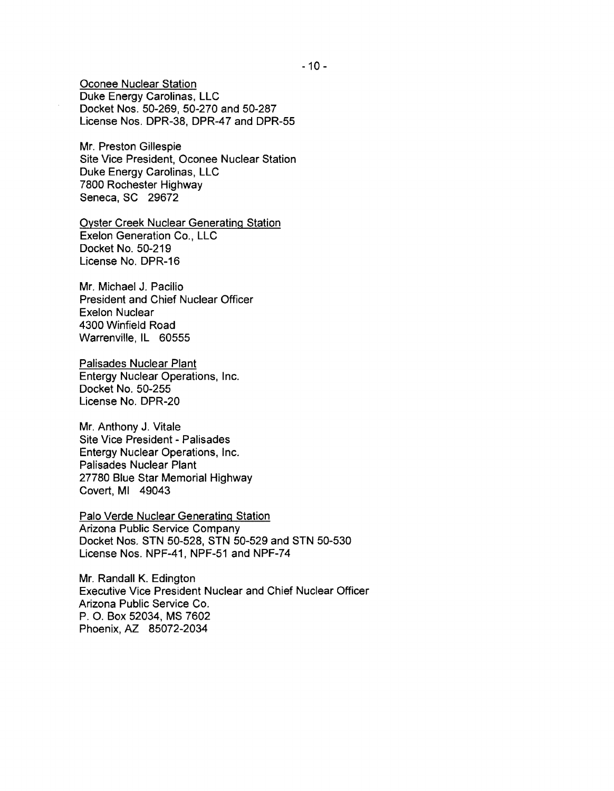Oconee Nuclear Station Duke Energy Carolinas, LLC Docket Nos. 50-269, 50-270 and 50-287 License Nos. DPR-38, DPR-47 and DPR-55

Mr. Preston Gillespie Site Vice President, Oconee Nuclear Station Duke Energy Carolinas, LLC 7800 Rochester Highway Seneca, SC 29672

Oyster Creek Nuclear Generating Station Exelon Generation Co., LLC Docket No. 50-219 License No. DPR-16

Mr. Michael J. Pacilio President and Chief Nuclear Officer Exelon Nuclear 4300 Winfield Road Warrenville, IL 60555

Palisades Nuclear Plant Entergy Nuclear Operations, Inc. Docket No. 50-255 License No. DPR-20

Mr. Anthony J. Vitale Site Vice President - Palisades Entergy Nuclear Operations, Inc. Palisades Nuclear Plant 27780 Blue Star Memorial Highway Covert, MI 49043

Palo Verde Nuclear Generating Station Arizona Public Service Company Docket Nos. STN 50-528, STN 50-529 and STN 50-530 License Nos. NPF-41, NPF-51 and NPF-74

Mr. Randall K. Edington Executive Vice President Nuclear and Chief Nuclear Officer Arizona Public Service Co. P. O. Box 52034, MS 7602 Phoenix, AZ 85072-2034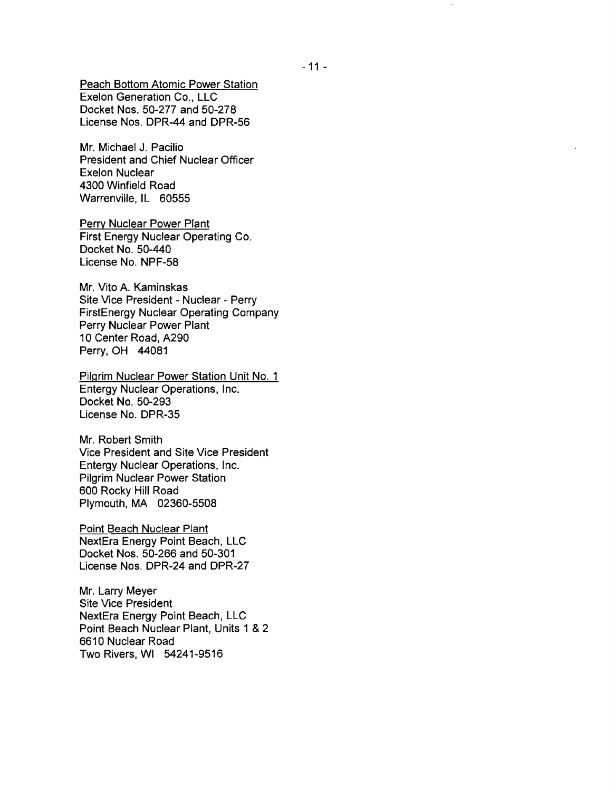Peach Bottom Atomic Power Station Exelon Generation Co., LLC Docket Nos. 50-277 and 50-278 License Nos. DPR-44 and DPR-56

Mr. Michael J. Pacilio President and Chief Nuclear Officer Exelon Nuclear 4300 Winfield Road Warrenville, IL 60555

Perry Nuclear Power Plant First Energy Nuclear Operating Co. Docket No. 50-440 License No. NPF-58

Mr. Vito A. Kaminskas Site Vice President - Nuclear - Perry FirstEnergy Nuclear Operating Company Perry Nuclear Power Plant 10 Center Road, A290 Perry, OH 44081

Pilgrim Nuclear Power Station Unit No.1 Entergy Nuclear Operations, Inc. Docket No. 50-293 License No. DPR-35

Mr. Robert Smith Vice President and Site Vice President Entergy Nuclear Operations, Inc. Pilgrim Nuclear Power Station 600 Rocky Hill Road Plymouth, MA 02360-5508

Point Beach Nuclear Plant NextEra Energy Point Beach, LLC Docket Nos. 50-266 and 50-301 License Nos. DPR-24 and DPR-27

Mr. Larry Meyer Site Vice President NextEra Energy Point Beach, LLC Point Beach Nuclear Plant, Units 1 & 2 6610 Nuclear Road Two Rivers, WI 54241-9516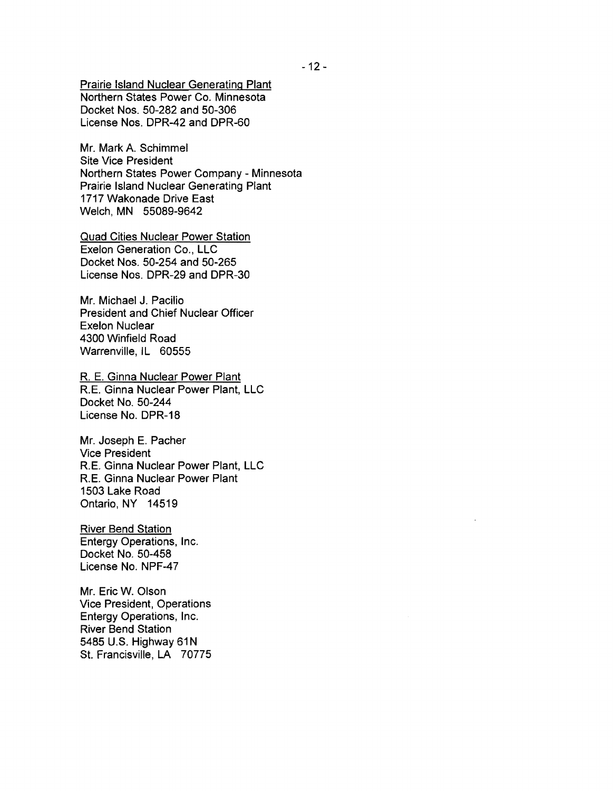Prairie Island Nuclear Generating Plant Northern States Power Co. Minnesota Docket Nos. 50-282 and 50-306 License Nos. DPR-42 and DPR-60

Mr. Mark A. Schimmel Site Vice President Northern States Power Company - Minnesota Prairie Island Nuclear Generating Plant 1717 Wakonade Drive East Welch, MN 55089-9642

Quad Cities Nuclear Power Station Exelon Generation Co., LLC Docket Nos. 50-254 and 50-265 License Nos. DPR-29 and DPR-30

Mr. Michael J. Pacilio President and Chief Nuclear Officer Exelon Nuclear 4300 Winfield Road Warrenville, IL 60555

R. E. Ginna Nuclear Power Plant RE. Ginna Nuclear Power Plant, LLC Docket No. 50-244 License No. DPR-18

Mr. Joseph E. Pacher Vice President RE. Ginna Nuclear Power Plant, LLC RE. Ginna Nuclear Power Plant 1503 Lake Road Ontario, NY 14519

River Bend Station Entergy Operations, Inc. Docket No. 50-458 License No. NPF-47

Mr. Eric W. Olson Vice President, Operations Entergy Operations, Inc. River Bend Station 5485 U.S. Highway 61N St. Francisville, LA 70775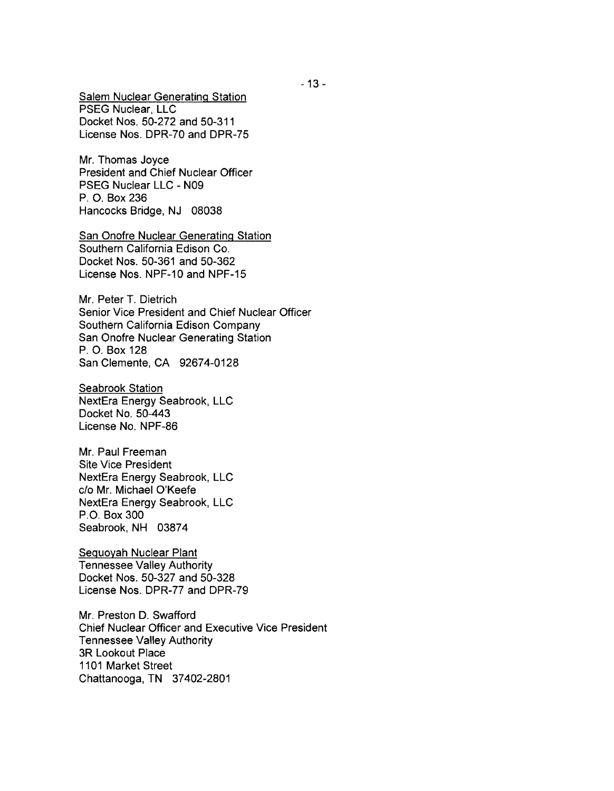Salem Nuclear Generating Station PSEG Nuclear, LLC Docket Nos. 50-272 and 50-311 License Nos. DPR-70 and DPR-75

Mr. Thomas Joyce President and Chief Nuclear Officer PSEG Nuclear LLC - N09 P. O. Box 236 Hancocks Bridge, NJ 08038

San Onofre Nuclear Generating Station Southern California Edison Co. Docket Nos. 50-361 and 50-362 License Nos. NPF-10 and NPF-15

Mr. Peter T. Dietrich Senior Vice President and Chief Nuclear Officer Southern California Edison Company San Onofre Nuclear Generating Station P. O. Box 128 San Clemente, CA 92674-0128

Seabrook Station NextEra Energy Seabrook, LLC Docket No. 50-443 License No. NPF-86

Mr. Paul Freeman Site Vice President NextEra Energy Seabrook, LLC c/o Mr. Michael O'Keefe NextEra Energy Seabrook, LLC P.O. Box 300 Seabrook, NH 03874

Seguoyah Nuclear Plant Tennessee Valley Authority Docket Nos. 50-327 and 50-328 License Nos. DPR-77 and DPR-79

Mr. Preston D. Swafford Chief Nuclear Officer and Executive Vice President Tennessee Valley Authority 3R Lookout Place 1101 Market Street Chattanooga, TN 37402-2801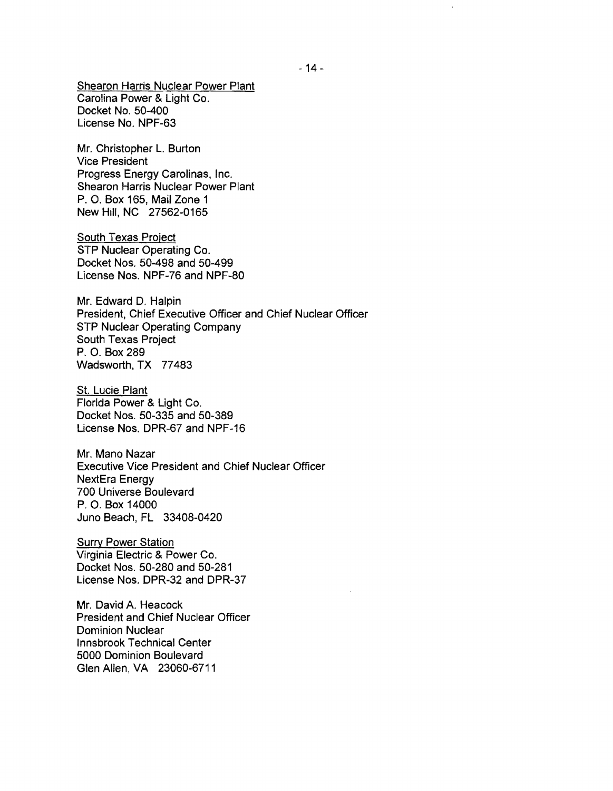Shearon Harris Nuclear Power Plant Carolina Power & Light Co. Docket No. 50-400 License No. NPF-63

Mr. Christopher L. Burton Vice President Progress Energy Carolinas, Inc. Shearon Harris Nuclear Power Plant P. O. Box 165, Mail Zone 1 New Hill, NC 27562-0165

South Texas Project STP Nuclear Operating Co. Docket Nos. 50-498 and 50-499 License Nos. NPF-76 and NPF-80

Mr. Edward D. Halpin President, Chief Executive Officer and Chief Nuclear Officer STP Nuclear Operating Company South Texas Project P. O. Box 289 Wadsworth, TX 77483

St. Lucie Plant Florida Power & Light Co. Docket Nos. 50-335 and 50-389 License Nos. DPR-67 and NPF-16

Mr. Mano Nazar Executive Vice President and Chief Nuclear Officer NextEra Energy 700 Universe Boulevard P. O. Box 14000 Juno Beach, FL 33408-0420

**Surry Power Station** Virginia Electric & Power Co. Docket Nos. 50-280 and 50-281 License Nos. DPR-32 and DPR-37

Mr. David A. Heacock President and Chief Nuclear Officer Dominion Nuclear Innsbrook Technical Center 5000 Dominion Boulevard Glen Allen, VA 23060-6711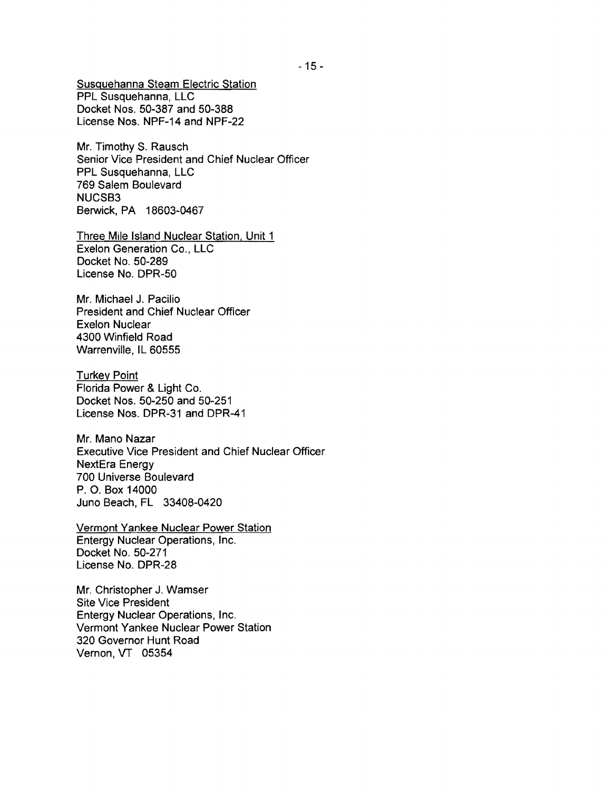Susquehanna Steam Electric Station PPL Susquehanna, LLC Docket Nos. 50-387 and 50-388 License Nos. NPF-14 and NPF-22

Mr. Timothy S. Rausch Senior Vice President and Chief Nuclear Officer PPL Susquehanna. LLC 769 Salem Boulevard NUCSB3 Berwick. PA 18603-0467

Three Mile Island Nuclear Station. Unit 1 Exelon Generation Co., LLC Docket No. 50-289 License No. DPR-50

Mr. Michael J. Pacilio President and Chief Nuclear Officer Exelon Nuclear 4300 Winfield Road Warrenville, IL 60555

Turkey Point Florida Power & Light Co. Docket Nos. 50-250 and 50-251 License Nos. DPR-31 and DPR-41

Mr. Mano Nazar Executive Vice President and Chief Nuclear Officer NextEra Energy 700 Universe Boulevard P. O. Box 14000 Juno Beach, FL 33408-0420

Vermont Yankee Nuclear Power Station Entergy Nuclear Operations, Inc. Docket No. 50-271 License No. DPR-28

Mr. Christopher J. Wamser Site Vice President Entergy Nuclear Operations, Inc. Vermont Yankee Nuclear Power Station 320 Governor Hunt Road Vernon, VT 05354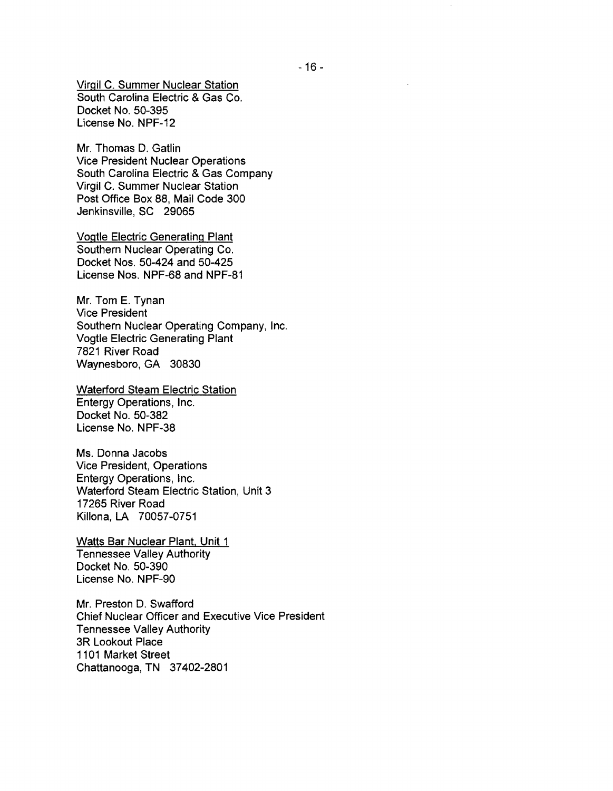Virgil C. Summer Nuclear Station South Carolina Electric & Gas Co. Docket No. 50-395 License No. NPF-12

Mr. Thomas D. Gatlin Vice President Nuclear Operations South Carolina Electric & Gas Company Virgil C. Summer Nuclear Station Post Office Box 88, Mail Code 300 Jenkinsville, SC 29065

Vogtle Electric Generating Plant Southern Nuclear Operating Co. Docket Nos. 50-424 and 50-425 License Nos. NPF-68 and NPF-81

Mr. Tom E. Tynan Vice President Southern Nuclear Operating Company, Inc. Vogtle Electric Generating Plant 7821 River Road Waynesboro, GA 30830

Waterford Steam Electric Station Entergy Operations, Inc. Docket No. 50-382 License No. NPF-38

Ms. Donna Jacobs Vice President, Operations Entergy Operations, Inc. Waterford Steam Electric Station, Unit 3 17265 River Road Killona, LA 70057-0751

Watts Bar Nuclear Plant, Unit 1 Tennessee Valley Authority Docket No. 50-390 License No. NPF-90

Mr. Preston D. Swafford Chief Nuclear Officer and Executive Vice President Tennessee Valley Authority 3R Lookout Place 1101 Market Street Chattanooga, TN 37402-2801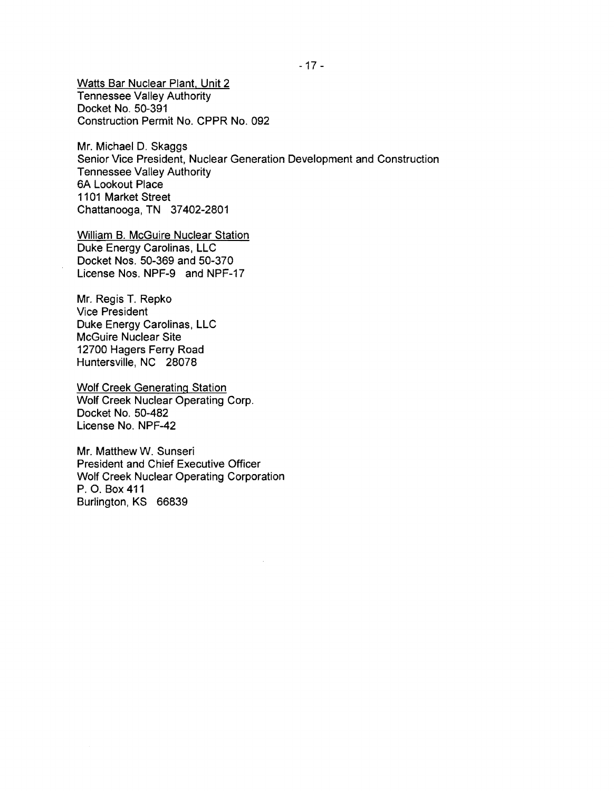Watts Bar Nuclear Plant. Unit 2 Tennessee Valley Authority Docket No. 50-391 Construction Permit No. CPPR No. 092

**Mr.** Michael D. Skaggs Senior Vice President, Nuclear Generation Development and Construction Tennessee Valley Authority 6A Lookout Place 1101 Market Street Chattanooga, TN 37402-2801

William B. McGuire Nuclear Station Duke Energy Carolinas, LLC Docket Nos. 50-369 and 50-370 License Nos. NPF-9 and NPF-17

Mr. Regis T. Repko Vice President Duke Energy Carolinas, LLC McGuire Nuclear Site 12700 Hagers Ferry Road Huntersville, NC 28078

Wolf Creek Generating Station Wolf Creek Nuclear Operating Corp. Docket No. 50-482 License No. NPF-42

Mr. Matthew W. Sunseri President and Chief Executive Officer Wolf Creek Nuclear Operating Corporation P. O. Box411 Burlington, KS 66839